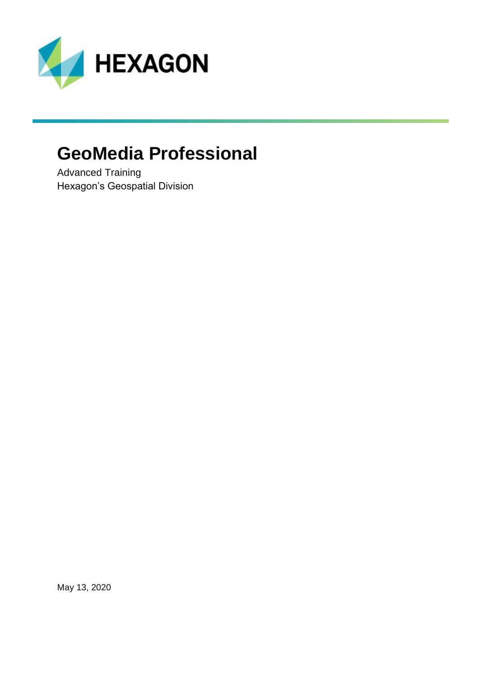

## **GeoMedia Professional**

Advanced Training Hexagon's Geospatial Division

May 13, 2020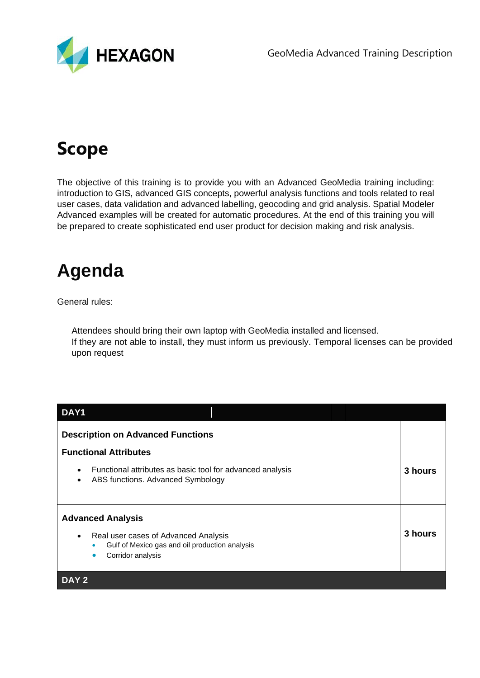

# **Scope**

The objective of this training is to provide you with an Advanced GeoMedia training including: introduction to GIS, advanced GIS concepts, powerful analysis functions and tools related to real user cases, data validation and advanced labelling, geocoding and grid analysis. Spatial Modeler Advanced examples will be created for automatic procedures. At the end of this training you will be prepared to create sophisticated end user product for decision making and risk analysis.

## **Agenda**

General rules:

Attendees should bring their own laptop with GeoMedia installed and licensed. If they are not able to install, they must inform us previously. Temporal licenses can be provided upon request

| DAY1                                                                                                                                                                           |         |  |
|--------------------------------------------------------------------------------------------------------------------------------------------------------------------------------|---------|--|
| <b>Description on Advanced Functions</b>                                                                                                                                       |         |  |
| <b>Functional Attributes</b>                                                                                                                                                   |         |  |
| Functional attributes as basic tool for advanced analysis<br>$\bullet$<br>ABS functions. Advanced Symbology<br>$\bullet$                                                       | 3 hours |  |
| <b>Advanced Analysis</b><br>Real user cases of Advanced Analysis<br>$\bullet$<br>Gulf of Mexico gas and oil production analysis<br>$\bullet$<br>Corridor analysis<br>$\bullet$ | 3 hours |  |
| DAY <sub>2</sub>                                                                                                                                                               |         |  |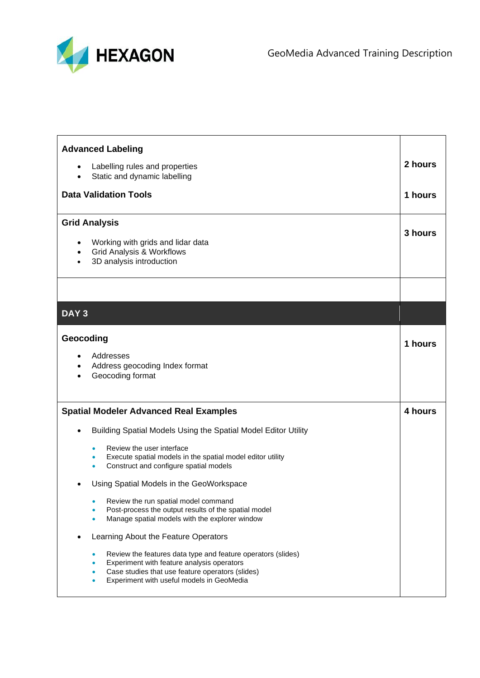

| <b>Advanced Labeling</b>                                                                                                                                                                                                                                                                                                                                                                                                                                                                                                                                                                                                                                            |         |
|---------------------------------------------------------------------------------------------------------------------------------------------------------------------------------------------------------------------------------------------------------------------------------------------------------------------------------------------------------------------------------------------------------------------------------------------------------------------------------------------------------------------------------------------------------------------------------------------------------------------------------------------------------------------|---------|
| Labelling rules and properties<br>$\bullet$<br>Static and dynamic labelling                                                                                                                                                                                                                                                                                                                                                                                                                                                                                                                                                                                         | 2 hours |
| <b>Data Validation Tools</b>                                                                                                                                                                                                                                                                                                                                                                                                                                                                                                                                                                                                                                        | 1 hours |
| <b>Grid Analysis</b><br>Working with grids and lidar data<br><b>Grid Analysis &amp; Workflows</b><br>3D analysis introduction                                                                                                                                                                                                                                                                                                                                                                                                                                                                                                                                       | 3 hours |
|                                                                                                                                                                                                                                                                                                                                                                                                                                                                                                                                                                                                                                                                     |         |
| DAY <sub>3</sub>                                                                                                                                                                                                                                                                                                                                                                                                                                                                                                                                                                                                                                                    |         |
| Geocoding<br>Addresses<br>Address geocoding Index format<br>Geocoding format                                                                                                                                                                                                                                                                                                                                                                                                                                                                                                                                                                                        | 1 hours |
| <b>Spatial Modeler Advanced Real Examples</b>                                                                                                                                                                                                                                                                                                                                                                                                                                                                                                                                                                                                                       | 4 hours |
| Building Spatial Models Using the Spatial Model Editor Utility<br>Review the user interface<br>۰<br>Execute spatial models in the spatial model editor utility<br>۰<br>Construct and configure spatial models<br>٠<br>Using Spatial Models in the GeoWorkspace<br>Review the run spatial model command<br>$\bullet$<br>Post-process the output results of the spatial model<br>۵<br>Manage spatial models with the explorer window<br>Learning About the Feature Operators<br>Review the features data type and feature operators (slides)<br>$\bullet$<br>Experiment with feature analysis operators<br>۰<br>Case studies that use feature operators (slides)<br>۰ |         |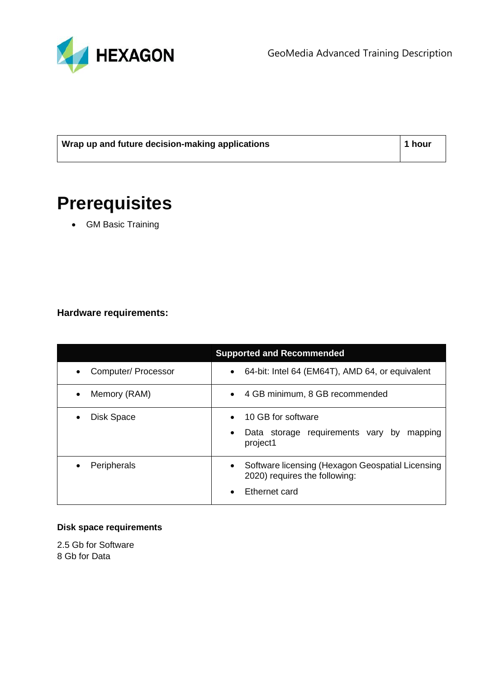

GeoMedia Advanced Training Description

| Wrap up and future decision-making applications | $\vert$ 1 hour |
|-------------------------------------------------|----------------|
|                                                 |                |

## **Prerequisites**

• GM Basic Training

### **Hardware requirements:**

| <b>Supported and Recommended</b> |                                                                                                                              |  |
|----------------------------------|------------------------------------------------------------------------------------------------------------------------------|--|
| Computer/ Processor              | 64-bit: Intel 64 (EM64T), AMD 64, or equivalent<br>$\bullet$                                                                 |  |
| Memory (RAM)                     | 4 GB minimum, 8 GB recommended<br>$\bullet$                                                                                  |  |
| <b>Disk Space</b>                | 10 GB for software<br>$\bullet$<br>Data storage requirements vary by<br>mapping<br>$\bullet$<br>project1                     |  |
| Peripherals                      | Software licensing (Hexagon Geospatial Licensing<br>$\bullet$<br>2020) requires the following:<br>Ethernet card<br>$\bullet$ |  |

#### **Disk space requirements**

2.5 Gb for Software 8 Gb for Data